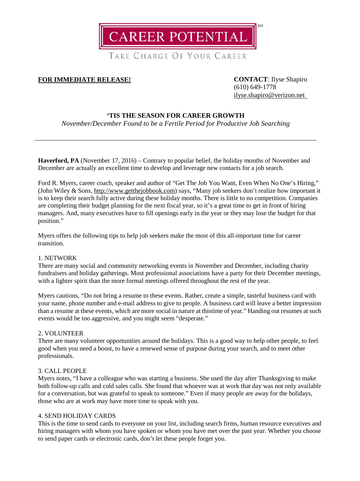**CAREER POTENTIAL** 

TAKE CHARGE OF YOUR CAREER

# **FOR IMMEDIATE RELEASE! CONTACT**: Ilyse Shapiro

(610) 649-1778 [ilyse.shapiro@verizon.net](mailto:ilyse.shapiro@verizon.net)

## **'TIS THE SEASON FOR CAREER GROWTH**

*November/December Found to be a Fertile Period for Productive Job Searching*

Haverford, PA (November 17, 2016) – Contrary to popular belief, the holiday months of November and December are actually an excellent time to develop and leverage new contacts for a job search.

Ford R. Myers, career coach, speaker and author of "Get The Job You Want, Even When No One's Hiring," (John Wiley & Sons, [http://www.getthejobbook.com\)](http://www.getthejobbook.com/) says, "Many job seekers don't realize how important it is to keep their search fully active during these holiday months. There is little to no competition. Companies are completing their budget planning for the next fiscal year, so it's a great time to get in front of hiring managers. And, many executives have to fill openings early in the year or they may lose the budget for that position."

Myers offers the following tips to help job seekers make the most of this all-important time for career transition.

## 1. NETWORK

There are many social and community networking events in November and December, including charity fundraisers and holiday gatherings. Most professional associations have a party for their December meetings, with a lighter spirit than the more formal meetings offered throughout the rest of the year.

Myers cautions, "Do not bring a resume to these events. Rather, create a simple, tasteful business card with your name, phone number and e-mail address to give to people. A business card will leave a better impression than a resume at these events, which are more social in nature at thistime of year." Handing out resumes at such events would be too aggressive, and you might seem "desperate."

### 2. VOLUNTEER

There are many volunteer opportunities around the holidays. This is a good way to help other people, to feel good when you need a boost, to have a renewed sense of purpose during your search, and to meet other professionals.

## 3. CALL PEOPLE

Myers notes, "I have a colleague who was starting a business. She used the day after Thanksgiving to make both follow-up calls and cold sales calls. She found that whoever was at work that day was not only available for a conversation, but was grateful to speak to someone." Even if many people are away for the holidays, those who are at work may have more time to speak with you.

### 4. SEND HOLIDAY CARDS

This is the time to send cards to everyone on your list, including search firms, human resource executives and hiring managers with whom you have spoken or whom you have met over the past year. Whether you choose to send paper cards or electronic cards, don't let these people forget you.